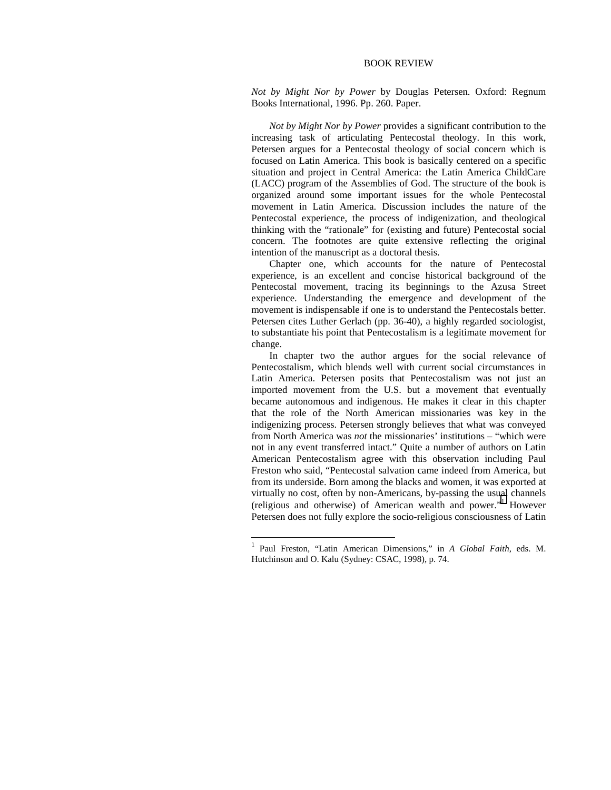## BOOK REVIEW

*Not by Might Nor by Power* by Douglas Petersen. Oxford: Regnum Books International, 1996. Pp. 260. Paper.

*Not by Might Nor by Power* provides a significant contribution to the increasing task of articulating Pentecostal theology. In this work, Petersen argues for a Pentecostal theology of social concern which is focused on Latin America. This book is basically centered on a specific situation and project in Central America: the Latin America ChildCare (LACC) program of the Assemblies of God. The structure of the book is organized around some important issues for the whole Pentecostal movement in Latin America. Discussion includes the nature of the Pentecostal experience, the process of indigenization, and theological thinking with the "rationale" for (existing and future) Pentecostal social concern. The footnotes are quite extensive reflecting the original intention of the manuscript as a doctoral thesis.

Chapter one, which accounts for the nature of Pentecostal experience, is an excellent and concise historical background of the Pentecostal movement, tracing its beginnings to the Azusa Street experience. Understanding the emergence and development of the movement is indispensable if one is to understand the Pentecostals better. Petersen cites Luther Gerlach (pp. 36-40), a highly regarded sociologist, to substantiate his point that Pentecostalism is a legitimate movement for change.

In chapter two the author argues for the social relevance of Pentecostalism, which blends well with current social circumstances in Latin America. Petersen posits that Pentecostalism was not just an imported movement from the U.S. but a movement that eventually became autonomous and indigenous. He makes it clear in this chapter that the role of the North American missionaries was key in the indigenizing process. Petersen strongly believes that what was conveyed from North America was *not* the missionaries' institutions – "which were not in any event transferred intact." Quite a number of authors on Latin American Pentecostalism agree with this observation including Paul Freston who said, "Pentecostal salvation came indeed from America, but from its underside. Born among the blacks and women, it was exported at virtually no cost, often by non-Americans, by-passing the usual channels (religious and otherwise) of American wealth and power."<sup>1</sup> However Petersen does not fully explore the socio-religious consciousness of Latin

 $\overline{a}$ 

<sup>1</sup> Paul Freston, "Latin American Dimensions," in *A Global Faith*, eds. M. Hutchinson and O. Kalu (Sydney: CSAC, 1998), p. 74.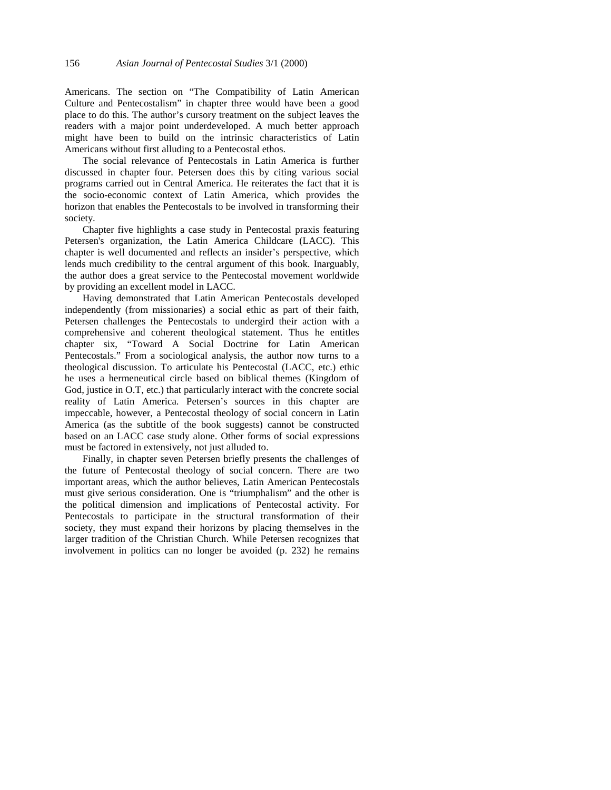Americans. The section on "The Compatibility of Latin American Culture and Pentecostalism" in chapter three would have been a good place to do this. The author's cursory treatment on the subject leaves the readers with a major point underdeveloped. A much better approach might have been to build on the intrinsic characteristics of Latin Americans without first alluding to a Pentecostal ethos.

The social relevance of Pentecostals in Latin America is further discussed in chapter four. Petersen does this by citing various social programs carried out in Central America. He reiterates the fact that it is the socio-economic context of Latin America, which provides the horizon that enables the Pentecostals to be involved in transforming their society.

Chapter five highlights a case study in Pentecostal praxis featuring Petersen's organization, the Latin America Childcare (LACC). This chapter is well documented and reflects an insider's perspective, which lends much credibility to the central argument of this book. Inarguably, the author does a great service to the Pentecostal movement worldwide by providing an excellent model in LACC.

Having demonstrated that Latin American Pentecostals developed independently (from missionaries) a social ethic as part of their faith, Petersen challenges the Pentecostals to undergird their action with a comprehensive and coherent theological statement. Thus he entitles chapter six, "Toward A Social Doctrine for Latin American Pentecostals." From a sociological analysis, the author now turns to a theological discussion. To articulate his Pentecostal (LACC, etc.) ethic he uses a hermeneutical circle based on biblical themes (Kingdom of God, justice in O.T, etc.) that particularly interact with the concrete social reality of Latin America. Petersen's sources in this chapter are impeccable, however, a Pentecostal theology of social concern in Latin America (as the subtitle of the book suggests) cannot be constructed based on an LACC case study alone. Other forms of social expressions must be factored in extensively, not just alluded to.

Finally, in chapter seven Petersen briefly presents the challenges of the future of Pentecostal theology of social concern. There are two important areas, which the author believes, Latin American Pentecostals must give serious consideration. One is "triumphalism" and the other is the political dimension and implications of Pentecostal activity. For Pentecostals to participate in the structural transformation of their society, they must expand their horizons by placing themselves in the larger tradition of the Christian Church. While Petersen recognizes that involvement in politics can no longer be avoided (p. 232) he remains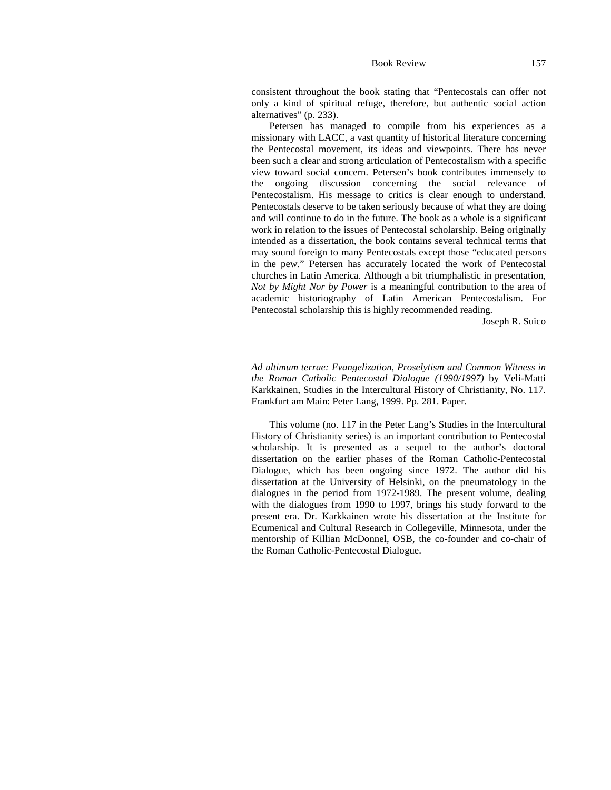## Book Review 157

consistent throughout the book stating that "Pentecostals can offer not only a kind of spiritual refuge, therefore, but authentic social action alternatives" (p. 233).

Petersen has managed to compile from his experiences as a missionary with LACC, a vast quantity of historical literature concerning the Pentecostal movement, its ideas and viewpoints. There has never been such a clear and strong articulation of Pentecostalism with a specific view toward social concern. Petersen's book contributes immensely to the ongoing discussion concerning the social relevance of Pentecostalism. His message to critics is clear enough to understand. Pentecostals deserve to be taken seriously because of what they are doing and will continue to do in the future. The book as a whole is a significant work in relation to the issues of Pentecostal scholarship. Being originally intended as a dissertation, the book contains several technical terms that may sound foreign to many Pentecostals except those "educated persons in the pew." Petersen has accurately located the work of Pentecostal churches in Latin America. Although a bit triumphalistic in presentation, *Not by Might Nor by Power* is a meaningful contribution to the area of academic historiography of Latin American Pentecostalism. For Pentecostal scholarship this is highly recommended reading.

Joseph R. Suico

*Ad ultimum terrae: Evangelization, Proselytism and Common Witness in the Roman Catholic Pentecostal Dialogue (1990/1997)* by Veli-Matti Karkkainen, Studies in the Intercultural History of Christianity, No. 117. Frankfurt am Main: Peter Lang, 1999. Pp. 281. Paper.

This volume (no. 117 in the Peter Lang's Studies in the Intercultural History of Christianity series) is an important contribution to Pentecostal scholarship. It is presented as a sequel to the author's doctoral dissertation on the earlier phases of the Roman Catholic-Pentecostal Dialogue, which has been ongoing since 1972. The author did his dissertation at the University of Helsinki, on the pneumatology in the dialogues in the period from 1972-1989. The present volume, dealing with the dialogues from 1990 to 1997, brings his study forward to the present era. Dr. Karkkainen wrote his dissertation at the Institute for Ecumenical and Cultural Research in Collegeville, Minnesota, under the mentorship of Killian McDonnel, OSB, the co-founder and co-chair of the Roman Catholic-Pentecostal Dialogue.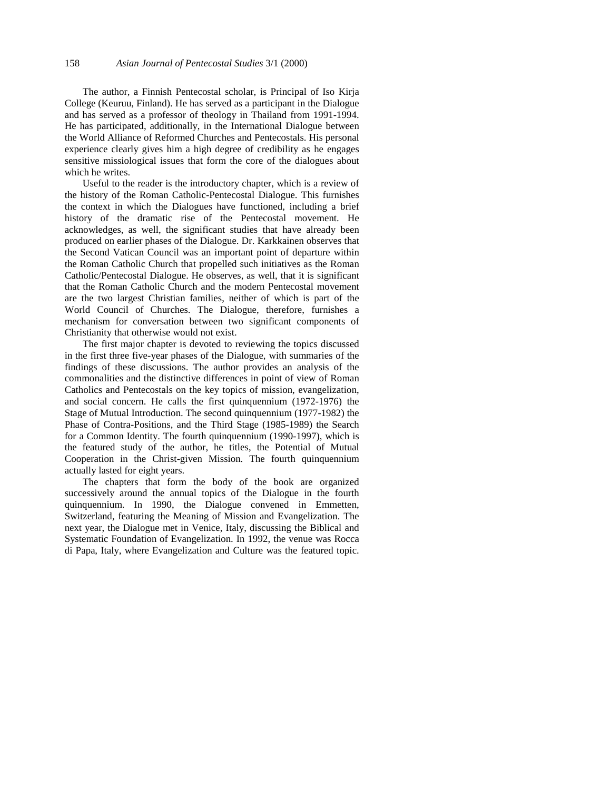The author, a Finnish Pentecostal scholar, is Principal of Iso Kirja College (Keuruu, Finland). He has served as a participant in the Dialogue and has served as a professor of theology in Thailand from 1991-1994. He has participated, additionally, in the International Dialogue between the World Alliance of Reformed Churches and Pentecostals. His personal experience clearly gives him a high degree of credibility as he engages sensitive missiological issues that form the core of the dialogues about which he writes.

Useful to the reader is the introductory chapter, which is a review of the history of the Roman Catholic-Pentecostal Dialogue. This furnishes the context in which the Dialogues have functioned, including a brief history of the dramatic rise of the Pentecostal movement. He acknowledges, as well, the significant studies that have already been produced on earlier phases of the Dialogue. Dr. Karkkainen observes that the Second Vatican Council was an important point of departure within the Roman Catholic Church that propelled such initiatives as the Roman Catholic/Pentecostal Dialogue. He observes, as well, that it is significant that the Roman Catholic Church and the modern Pentecostal movement are the two largest Christian families, neither of which is part of the World Council of Churches. The Dialogue, therefore, furnishes a mechanism for conversation between two significant components of Christianity that otherwise would not exist.

The first major chapter is devoted to reviewing the topics discussed in the first three five-year phases of the Dialogue, with summaries of the findings of these discussions. The author provides an analysis of the commonalities and the distinctive differences in point of view of Roman Catholics and Pentecostals on the key topics of mission, evangelization, and social concern. He calls the first quinquennium (1972-1976) the Stage of Mutual Introduction. The second quinquennium (1977-1982) the Phase of Contra-Positions, and the Third Stage (1985-1989) the Search for a Common Identity. The fourth quinquennium (1990-1997), which is the featured study of the author, he titles, the Potential of Mutual Cooperation in the Christ-given Mission. The fourth quinquennium actually lasted for eight years.

The chapters that form the body of the book are organized successively around the annual topics of the Dialogue in the fourth quinquennium. In 1990, the Dialogue convened in Emmetten, Switzerland, featuring the Meaning of Mission and Evangelization. The next year, the Dialogue met in Venice, Italy, discussing the Biblical and Systematic Foundation of Evangelization. In 1992, the venue was Rocca di Papa, Italy, where Evangelization and Culture was the featured topic.